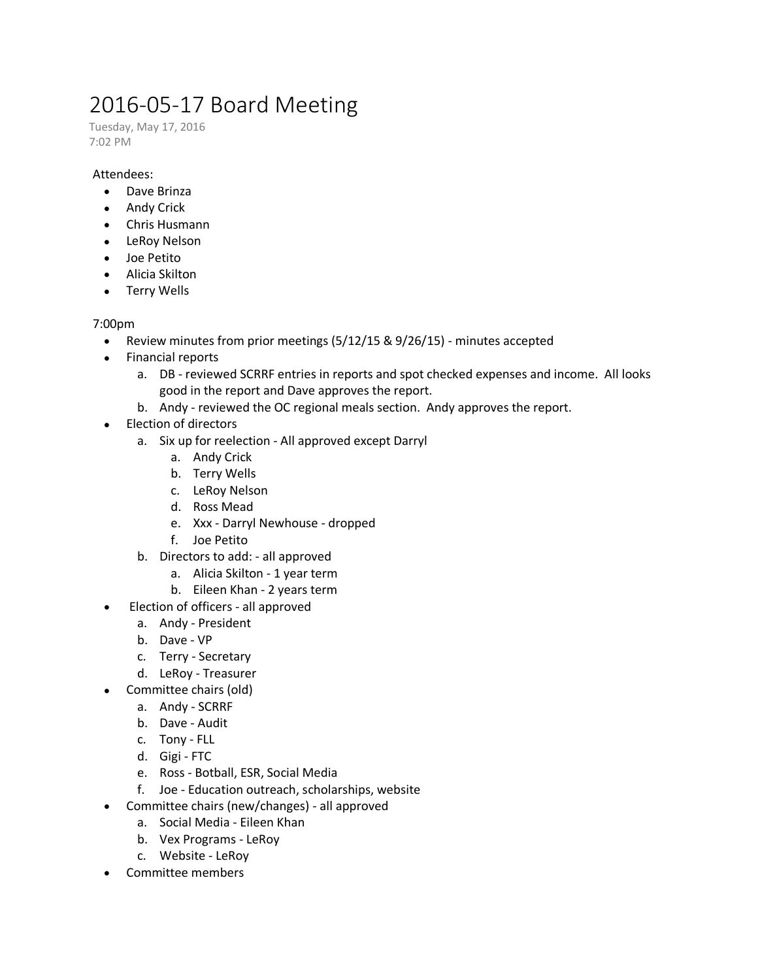## 2016-05-17 Board Meeting

Tuesday, May 17, 2016 7:02 PM

## Attendees:

- Dave Brinza
- Andy Crick
- Chris Husmann
- LeRoy Nelson
- Joe Petito
- Alicia Skilton
- Terry Wells

## 7:00pm

- Review minutes from prior meetings (5/12/15 & 9/26/15) minutes accepted
- Financial reports
	- a. DB reviewed SCRRF entries in reports and spot checked expenses and income. All looks good in the report and Dave approves the report.
	- b. Andy reviewed the OC regional meals section. Andy approves the report.
- Election of directors
	- a. Six up for reelection All approved except Darryl
		- a. Andy Crick
		- b. Terry Wells
		- c. LeRoy Nelson
		- d. Ross Mead
		- e. Xxx Darryl Newhouse dropped
		- f. Joe Petito
	- b. Directors to add: all approved
		- a. Alicia Skilton 1 year term
		- b. Eileen Khan 2 years term
	- Election of officers all approved
	- a. Andy President
	- b. Dave VP
	- c. Terry Secretary
	- d. LeRoy Treasurer
	- Committee chairs (old)
		- a. Andy SCRRF
		- b. Dave Audit
		- c. Tony FLL
		- d. Gigi FTC
		- e. Ross Botball, ESR, Social Media
		- f. Joe Education outreach, scholarships, website
- Committee chairs (new/changes) all approved
	- a. Social Media Eileen Khan
	- b. Vex Programs LeRoy
	- c. Website LeRoy
- Committee members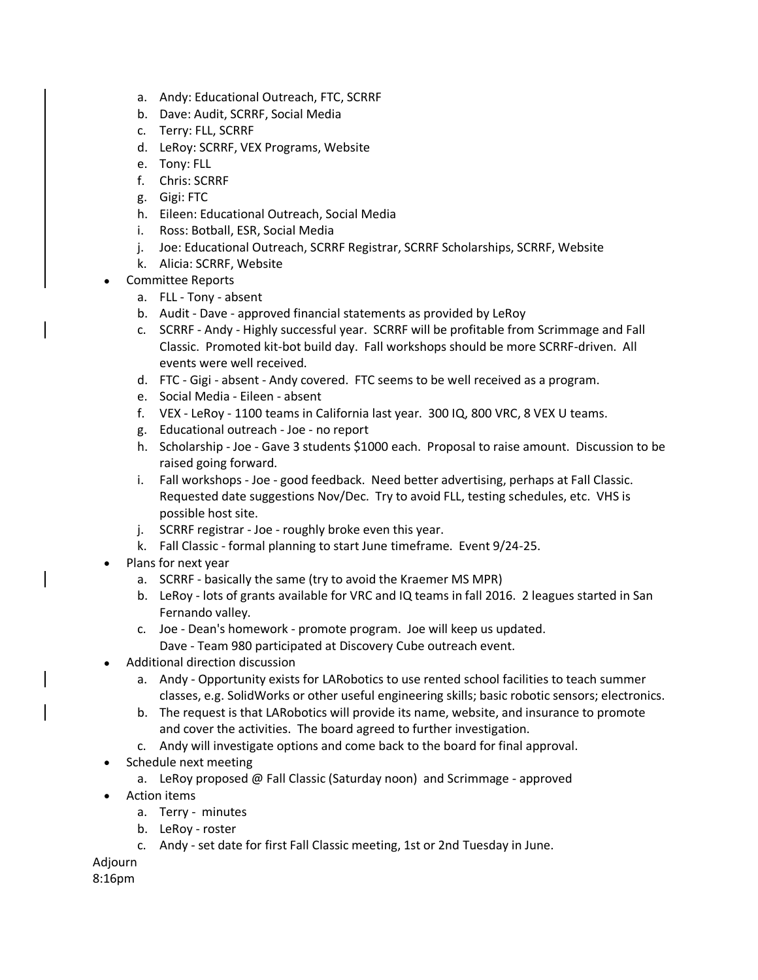- a. Andy: Educational Outreach, FTC, SCRRF
- b. Dave: Audit, SCRRF, Social Media
- c. Terry: FLL, SCRRF
- d. LeRoy: SCRRF, VEX Programs, Website
- e. Tony: FLL
- f. Chris: SCRRF
- g. Gigi: FTC
- h. Eileen: Educational Outreach, Social Media
- i. Ross: Botball, ESR, Social Media
- j. Joe: Educational Outreach, SCRRF Registrar, SCRRF Scholarships, SCRRF, Website
- k. Alicia: SCRRF, Website
- Committee Reports
	- a. FLL Tony absent
	- b. Audit Dave approved financial statements as provided by LeRoy
	- c. SCRRF Andy Highly successful year. SCRRF will be profitable from Scrimmage and Fall Classic. Promoted kit-bot build day. Fall workshops should be more SCRRF-driven. All events were well received.
	- d. FTC Gigi absent Andy covered. FTC seems to be well received as a program.
	- e. Social Media Eileen absent
	- f. VEX LeRoy 1100 teams in California last year. 300 IQ, 800 VRC, 8 VEX U teams.
	- g. Educational outreach Joe no report
	- h. Scholarship Joe Gave 3 students \$1000 each. Proposal to raise amount. Discussion to be raised going forward.
	- i. Fall workshops Joe good feedback. Need better advertising, perhaps at Fall Classic. Requested date suggestions Nov/Dec. Try to avoid FLL, testing schedules, etc. VHS is possible host site.
	- j. SCRRF registrar Joe roughly broke even this year.
	- k. Fall Classic formal planning to start June timeframe. Event 9/24-25.
- Plans for next year
	- a. SCRRF basically the same (try to avoid the Kraemer MS MPR)
	- b. LeRoy lots of grants available for VRC and IQ teams in fall 2016. 2 leagues started in San Fernando valley.
	- c. Joe Dean's homework promote program. Joe will keep us updated. Dave - Team 980 participated at Discovery Cube outreach event.
- Additional direction discussion
	- a. Andy Opportunity exists for LARobotics to use rented school facilities to teach summer classes, e.g. SolidWorks or other useful engineering skills; basic robotic sensors; electronics.
	- b. The request is that LARobotics will provide its name, website, and insurance to promote and cover the activities. The board agreed to further investigation.
	- c. Andy will investigate options and come back to the board for final approval.
- Schedule next meeting
	- a. LeRoy proposed @ Fall Classic (Saturday noon) and Scrimmage approved
- Action items
	- a. Terry minutes
	- b. LeRoy roster
	- c. Andy set date for first Fall Classic meeting, 1st or 2nd Tuesday in June.

Adjourn

8:16pm